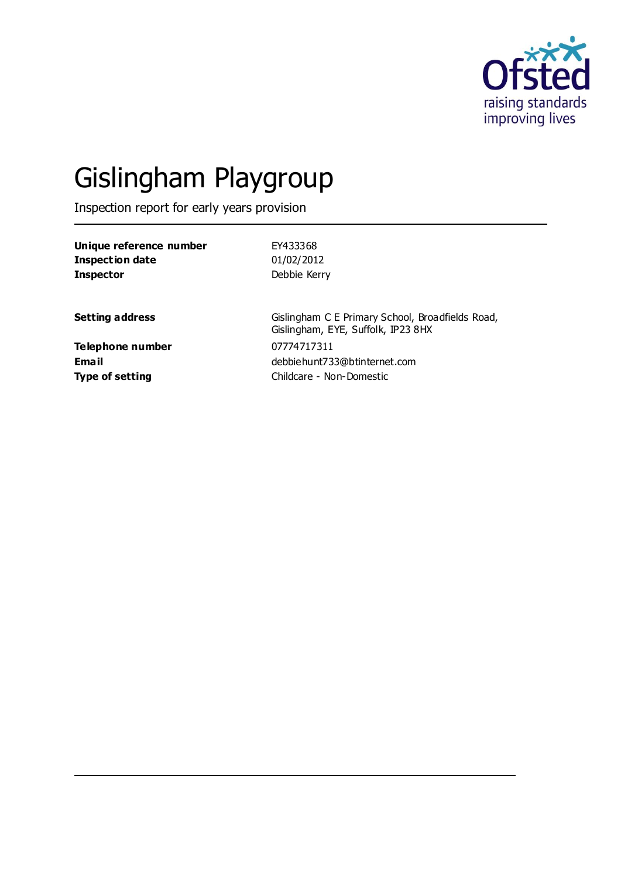

# Gislingham Playgroup

Inspection report for early years provision

| Unique reference number | EY433368     |
|-------------------------|--------------|
| <b>Inspection date</b>  | 01/02/2012   |
| <b>Inspector</b>        | Debbie Kerry |
|                         |              |
|                         |              |

**Setting address** Gislingham C E Primary School, Broadfields Road, Gislingham, EYE, Suffolk, IP23 8HX **Email** debbiehunt733@btinternet.com **Type of setting** Childcare - Non-Domestic

**Telephone number** 07774717311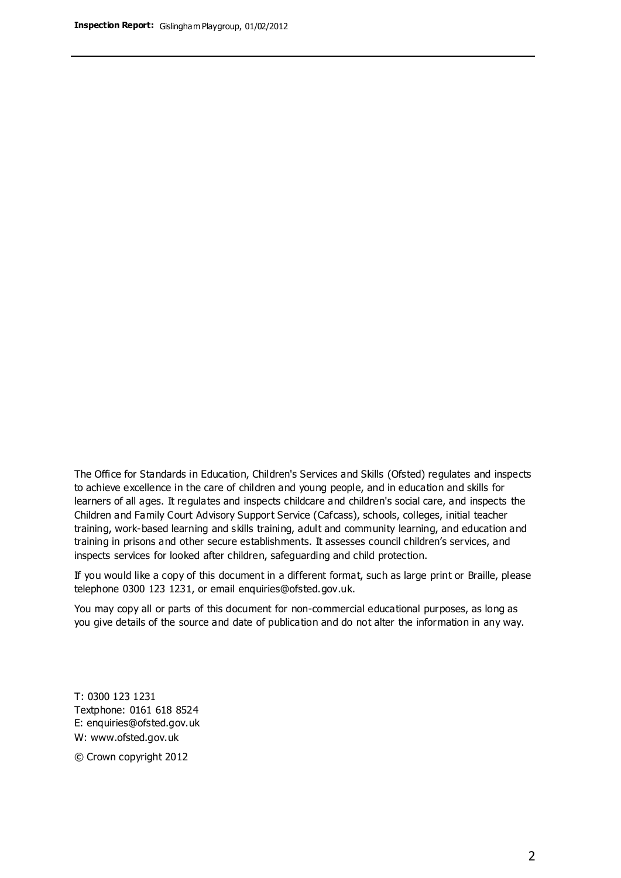The Office for Standards in Education, Children's Services and Skills (Ofsted) regulates and inspects to achieve excellence in the care of children and young people, and in education and skills for learners of all ages. It regulates and inspects childcare and children's social care, and inspects the Children and Family Court Advisory Support Service (Cafcass), schools, colleges, initial teacher training, work-based learning and skills training, adult and community learning, and education and training in prisons and other secure establishments. It assesses council children's services, and inspects services for looked after children, safeguarding and child protection.

If you would like a copy of this document in a different format, such as large print or Braille, please telephone 0300 123 1231, or email enquiries@ofsted.gov.uk.

You may copy all or parts of this document for non-commercial educational purposes, as long as you give details of the source and date of publication and do not alter the information in any way.

T: 0300 123 1231 Textphone: 0161 618 8524 E: enquiries@ofsted.gov.uk W: [www.ofsted.gov.uk](http://www.ofsted.gov.uk/)

© Crown copyright 2012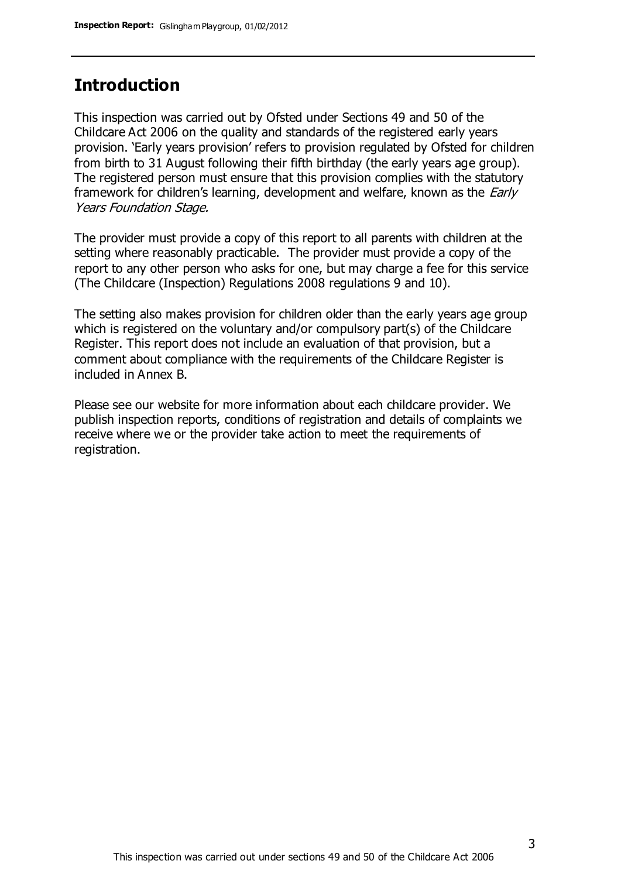### **Introduction**

This inspection was carried out by Ofsted under Sections 49 and 50 of the Childcare Act 2006 on the quality and standards of the registered early years provision. 'Early years provision' refers to provision regulated by Ofsted for children from birth to 31 August following their fifth birthday (the early years age group). The registered person must ensure that this provision complies with the statutory framework for children's learning, development and welfare, known as the *Early* Years Foundation Stage.

The provider must provide a copy of this report to all parents with children at the setting where reasonably practicable. The provider must provide a copy of the report to any other person who asks for one, but may charge a fee for this service (The Childcare (Inspection) Regulations 2008 regulations 9 and 10).

The setting also makes provision for children older than the early years age group which is registered on the voluntary and/or compulsory part(s) of the Childcare Register. This report does not include an evaluation of that provision, but a comment about compliance with the requirements of the Childcare Register is included in Annex B.

Please see our website for more information about each childcare provider. We publish inspection reports, conditions of registration and details of complaints we receive where we or the provider take action to meet the requirements of registration.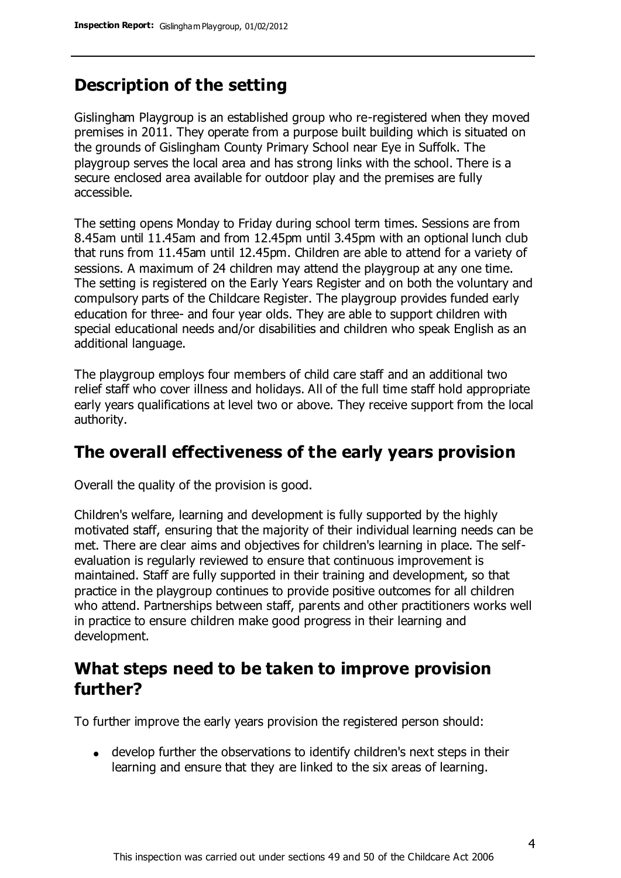## **Description of the setting**

Gislingham Playgroup is an established group who re-registered when they moved premises in 2011. They operate from a purpose built building which is situated on the grounds of Gislingham County Primary School near Eye in Suffolk. The playgroup serves the local area and has strong links with the school. There is a secure enclosed area available for outdoor play and the premises are fully accessible.

The setting opens Monday to Friday during school term times. Sessions are from 8.45am until 11.45am and from 12.45pm until 3.45pm with an optional lunch club that runs from 11.45am until 12.45pm. Children are able to attend for a variety of sessions. A maximum of 24 children may attend the playgroup at any one time. The setting is registered on the Early Years Register and on both the voluntary and compulsory parts of the Childcare Register. The playgroup provides funded early education for three- and four year olds. They are able to support children with special educational needs and/or disabilities and children who speak English as an additional language.

The playgroup employs four members of child care staff and an additional two relief staff who cover illness and holidays. All of the full time staff hold appropriate early years qualifications at level two or above. They receive support from the local authority.

## **The overall effectiveness of the early years provision**

Overall the quality of the provision is good.

Children's welfare, learning and development is fully supported by the highly motivated staff, ensuring that the majority of their individual learning needs can be met. There are clear aims and objectives for children's learning in place. The selfevaluation is regularly reviewed to ensure that continuous improvement is maintained. Staff are fully supported in their training and development, so that practice in the playgroup continues to provide positive outcomes for all children who attend. Partnerships between staff, parents and other practitioners works well in practice to ensure children make good progress in their learning and development.

## **What steps need to be taken to improve provision further?**

To further improve the early years provision the registered person should:

develop further the observations to identify children's next steps in their learning and ensure that they are linked to the six areas of learning.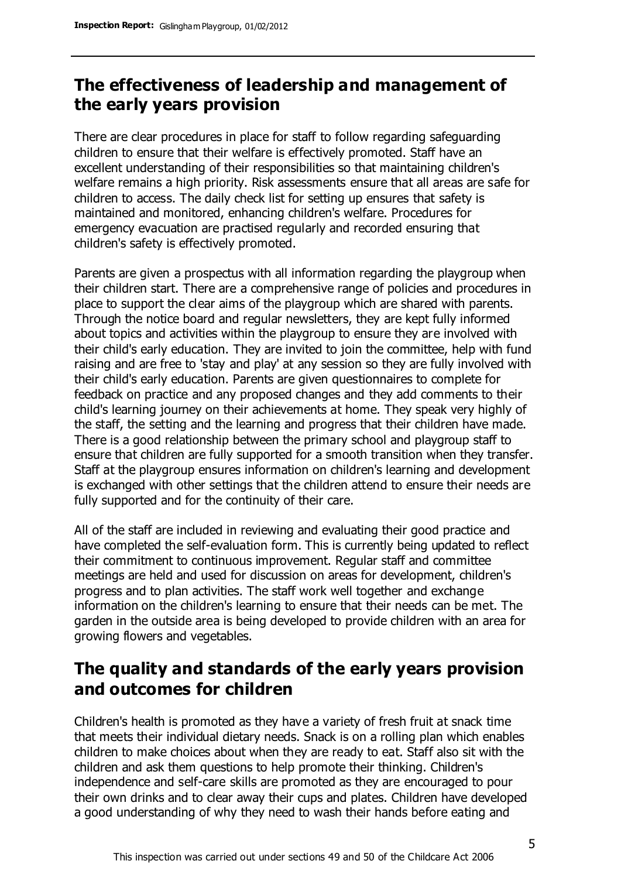## **The effectiveness of leadership and management of the early years provision**

There are clear procedures in place for staff to follow regarding safeguarding children to ensure that their welfare is effectively promoted. Staff have an excellent understanding of their responsibilities so that maintaining children's welfare remains a high priority. Risk assessments ensure that all areas are safe for children to access. The daily check list for setting up ensures that safety is maintained and monitored, enhancing children's welfare. Procedures for emergency evacuation are practised regularly and recorded ensuring that children's safety is effectively promoted.

Parents are given a prospectus with all information regarding the playgroup when their children start. There are a comprehensive range of policies and procedures in place to support the clear aims of the playgroup which are shared with parents. Through the notice board and regular newsletters, they are kept fully informed about topics and activities within the playgroup to ensure they are involved with their child's early education. They are invited to join the committee, help with fund raising and are free to 'stay and play' at any session so they are fully involved with their child's early education. Parents are given questionnaires to complete for feedback on practice and any proposed changes and they add comments to their child's learning journey on their achievements at home. They speak very highly of the staff, the setting and the learning and progress that their children have made. There is a good relationship between the primary school and playgroup staff to ensure that children are fully supported for a smooth transition when they transfer. Staff at the playgroup ensures information on children's learning and development is exchanged with other settings that the children attend to ensure their needs are fully supported and for the continuity of their care.

All of the staff are included in reviewing and evaluating their good practice and have completed the self-evaluation form. This is currently being updated to reflect their commitment to continuous improvement. Regular staff and committee meetings are held and used for discussion on areas for development, children's progress and to plan activities. The staff work well together and exchange information on the children's learning to ensure that their needs can be met. The garden in the outside area is being developed to provide children with an area for growing flowers and vegetables.

## **The quality and standards of the early years provision and outcomes for children**

Children's health is promoted as they have a variety of fresh fruit at snack time that meets their individual dietary needs. Snack is on a rolling plan which enables children to make choices about when they are ready to eat. Staff also sit with the children and ask them questions to help promote their thinking. Children's independence and self-care skills are promoted as they are encouraged to pour their own drinks and to clear away their cups and plates. Children have developed a good understanding of why they need to wash their hands before eating and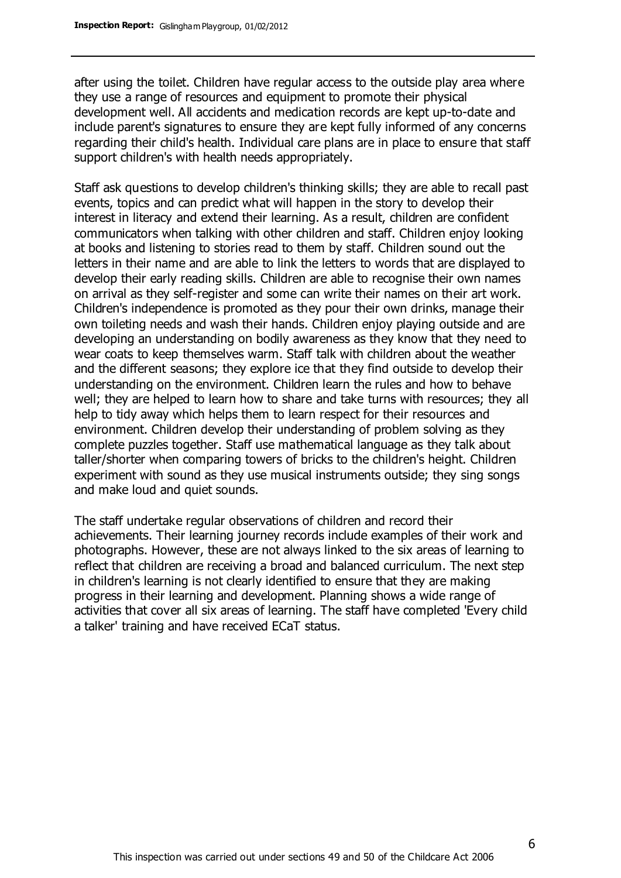after using the toilet. Children have regular access to the outside play area where they use a range of resources and equipment to promote their physical development well. All accidents and medication records are kept up-to-date and include parent's signatures to ensure they are kept fully informed of any concerns regarding their child's health. Individual care plans are in place to ensure that staff support children's with health needs appropriately.

Staff ask questions to develop children's thinking skills; they are able to recall past events, topics and can predict what will happen in the story to develop their interest in literacy and extend their learning. As a result, children are confident communicators when talking with other children and staff. Children enjoy looking at books and listening to stories read to them by staff. Children sound out the letters in their name and are able to link the letters to words that are displayed to develop their early reading skills. Children are able to recognise their own names on arrival as they self-register and some can write their names on their art work. Children's independence is promoted as they pour their own drinks, manage their own toileting needs and wash their hands. Children enjoy playing outside and are developing an understanding on bodily awareness as they know that they need to wear coats to keep themselves warm. Staff talk with children about the weather and the different seasons; they explore ice that they find outside to develop their understanding on the environment. Children learn the rules and how to behave well; they are helped to learn how to share and take turns with resources; they all help to tidy away which helps them to learn respect for their resources and environment. Children develop their understanding of problem solving as they complete puzzles together. Staff use mathematical language as they talk about taller/shorter when comparing towers of bricks to the children's height. Children experiment with sound as they use musical instruments outside; they sing songs and make loud and quiet sounds.

The staff undertake regular observations of children and record their achievements. Their learning journey records include examples of their work and photographs. However, these are not always linked to the six areas of learning to reflect that children are receiving a broad and balanced curriculum. The next step in children's learning is not clearly identified to ensure that they are making progress in their learning and development. Planning shows a wide range of activities that cover all six areas of learning. The staff have completed 'Every child a talker' training and have received ECaT status.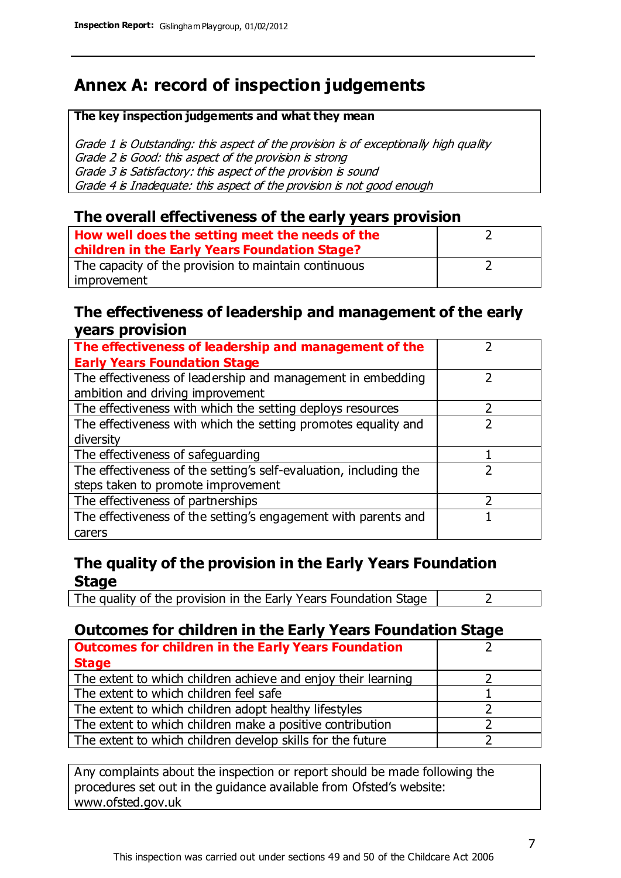# **Annex A: record of inspection judgements**

#### **The key inspection judgements and what they mean**

Grade 1 is Outstanding: this aspect of the provision is of exceptionally high quality Grade 2 is Good: this aspect of the provision is strong Grade 3 is Satisfactory: this aspect of the provision is sound Grade 4 is Inadequate: this aspect of the provision is not good enough

#### **The overall effectiveness of the early years provision**

| How well does the setting meet the needs of the<br>children in the Early Years Foundation Stage? |  |
|--------------------------------------------------------------------------------------------------|--|
| The capacity of the provision to maintain continuous                                             |  |
| improvement                                                                                      |  |

#### **The effectiveness of leadership and management of the early years provision**

| The effectiveness of leadership and management of the             |  |
|-------------------------------------------------------------------|--|
| <b>Early Years Foundation Stage</b>                               |  |
| The effectiveness of leadership and management in embedding       |  |
| ambition and driving improvement                                  |  |
| The effectiveness with which the setting deploys resources        |  |
| The effectiveness with which the setting promotes equality and    |  |
| diversity                                                         |  |
| The effectiveness of safeguarding                                 |  |
| The effectiveness of the setting's self-evaluation, including the |  |
| steps taken to promote improvement                                |  |
| The effectiveness of partnerships                                 |  |
| The effectiveness of the setting's engagement with parents and    |  |
| carers                                                            |  |

#### **The quality of the provision in the Early Years Foundation Stage**

The quality of the provision in the Early Years Foundation Stage  $\vert$  2

#### **Outcomes for children in the Early Years Foundation Stage**

| <b>Outcomes for children in the Early Years Foundation</b>    |  |
|---------------------------------------------------------------|--|
| <b>Stage</b>                                                  |  |
| The extent to which children achieve and enjoy their learning |  |
| The extent to which children feel safe                        |  |
| The extent to which children adopt healthy lifestyles         |  |
| The extent to which children make a positive contribution     |  |
| The extent to which children develop skills for the future    |  |

Any complaints about the inspection or report should be made following the procedures set out in the guidance available from Ofsted's website: www.ofsted.gov.uk